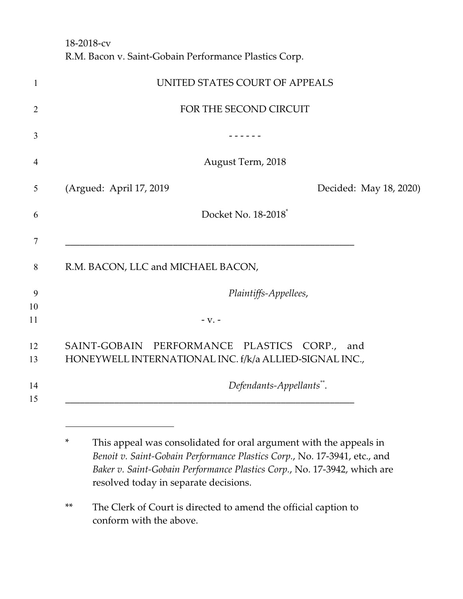18-2018-cv R.M. Bacon v. Saint-Gobain Performance Plastics Corp.

| 1              | UNITED STATES COURT OF APPEALS                                                                         |
|----------------|--------------------------------------------------------------------------------------------------------|
| $\overline{2}$ | FOR THE SECOND CIRCUIT                                                                                 |
| 3              |                                                                                                        |
| $\overline{4}$ | August Term, 2018                                                                                      |
| 5              | (Argued: April 17, 2019)<br>Decided: May 18, 2020)                                                     |
| 6              | Docket No. 18-2018 <sup>*</sup>                                                                        |
| 7              |                                                                                                        |
| 8              | R.M. BACON, LLC and MICHAEL BACON,                                                                     |
| 9              | Plaintiffs-Appellees,                                                                                  |
| 10<br>11       | $-V. -$                                                                                                |
| 12<br>13       | SAINT-GOBAIN PERFORMANCE PLASTICS CORP., and<br>HONEYWELL INTERNATIONAL INC. f/k/a ALLIED-SIGNAL INC., |
| 14<br>15       | Defendants-Appellants**.                                                                               |
|                |                                                                                                        |

<sup>\*</sup> This appeal was consolidated for oral argument with the appeals in *Benoit v. Saint-Gobain Performance Plastics Corp.*, No. 17-3941, etc., and *Baker v. Saint-Gobain Performance Plastics Corp.*, No. 17-3942, which are resolved today in separate decisions.

<sup>\*\*</sup> The Clerk of Court is directed to amend the official caption to conform with the above.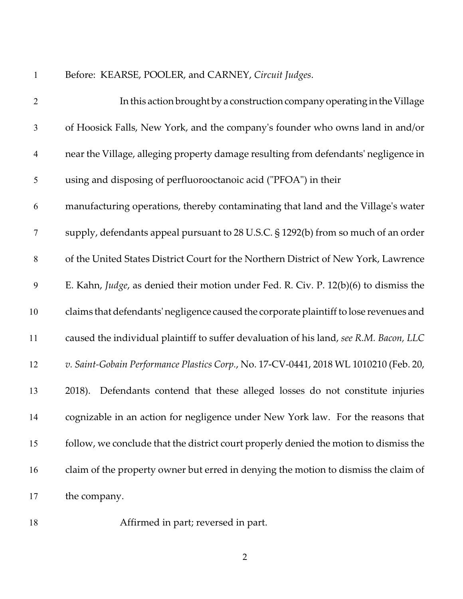Before: KEARSE, POOLER, and CARNEY, *Circuit Judges*.

| $\overline{2}$           | In this action brought by a construction company operating in the Village              |
|--------------------------|----------------------------------------------------------------------------------------|
| $\mathfrak{Z}$           | of Hoosick Falls, New York, and the company's founder who owns land in and/or          |
| $\overline{\mathcal{A}}$ | near the Village, alleging property damage resulting from defendants' negligence in    |
| 5                        | using and disposing of perfluorooctanoic acid ("PFOA") in their                        |
| 6                        | manufacturing operations, thereby contaminating that land and the Village's water      |
| $\tau$                   | supply, defendants appeal pursuant to 28 U.S.C. § 1292(b) from so much of an order     |
| $8\,$                    | of the United States District Court for the Northern District of New York, Lawrence    |
| $\mathbf{9}$             | E. Kahn, Judge, as denied their motion under Fed. R. Civ. P. 12(b)(6) to dismiss the   |
| 10                       | claims that defendants' negligence caused the corporate plaintiff to lose revenues and |
| 11                       | caused the individual plaintiff to suffer devaluation of his land, see R.M. Bacon, LLC |
| 12                       | v. Saint-Gobain Performance Plastics Corp., No. 17-CV-0441, 2018 WL 1010210 (Feb. 20,  |
| 13                       | Defendants contend that these alleged losses do not constitute injuries<br>2018).      |
| 14                       | cognizable in an action for negligence under New York law. For the reasons that        |
| 15                       | follow, we conclude that the district court properly denied the motion to dismiss the  |
| 16                       | claim of the property owner but erred in denying the motion to dismiss the claim of    |
| 17                       | the company.                                                                           |

Affirmed in part; reversed in part.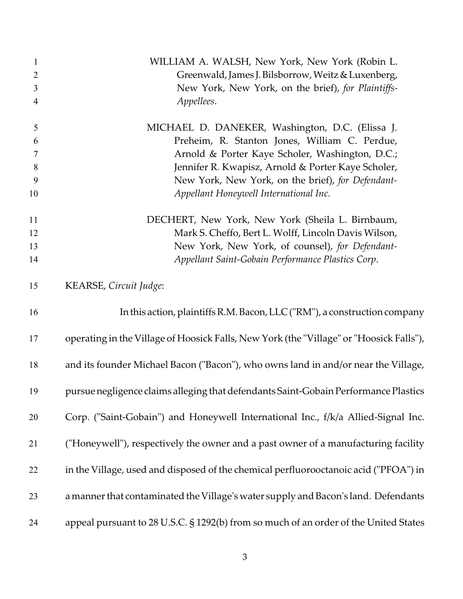| 1              | WILLIAM A. WALSH, New York, New York (Robin L.                                          |
|----------------|-----------------------------------------------------------------------------------------|
| $\overline{2}$ | Greenwald, James J. Bilsborrow, Weitz & Luxenberg,                                      |
| 3              | New York, New York, on the brief), for Plaintiffs-                                      |
| $\overline{4}$ | Appellees.                                                                              |
| $\mathfrak{S}$ | MICHAEL D. DANEKER, Washington, D.C. (Elissa J.                                         |
| 6              | Preheim, R. Stanton Jones, William C. Perdue,                                           |
| $\tau$         | Arnold & Porter Kaye Scholer, Washington, D.C.;                                         |
| $8\,$          | Jennifer R. Kwapisz, Arnold & Porter Kaye Scholer,                                      |
| 9              | New York, New York, on the brief), for Defendant-                                       |
| 10             | Appellant Honeywell International Inc.                                                  |
| 11             | DECHERT, New York, New York (Sheila L. Birnbaum,                                        |
| 12             | Mark S. Cheffo, Bert L. Wolff, Lincoln Davis Wilson,                                    |
| 13             | New York, New York, of counsel), for Defendant-                                         |
| 14             | Appellant Saint-Gobain Performance Plastics Corp.                                       |
| 15             | KEARSE, Circuit Judge:                                                                  |
| 16             | In this action, plaintiffs R.M. Bacon, LLC ("RM"), a construction company               |
| 17             | operating in the Village of Hoosick Falls, New York (the "Village" or "Hoosick Falls"), |
| 18             | and its founder Michael Bacon ("Bacon"), who owns land in and/or near the Village,      |
| 19             | pursue negligence claims alleging that defendants Saint-Gobain Performance Plastics     |
| 20             | Corp. ("Saint-Gobain") and Honeywell International Inc., f/k/a Allied-Signal Inc.       |
| 21             | ("Honeywell"), respectively the owner and a past owner of a manufacturing facility      |
| 22             | in the Village, used and disposed of the chemical perfluorooctanoic acid ("PFOA") in    |
| 23             | a manner that contaminated the Village's water supply and Bacon's land. Defendants      |
| 24             | appeal pursuant to 28 U.S.C. § 1292(b) from so much of an order of the United States    |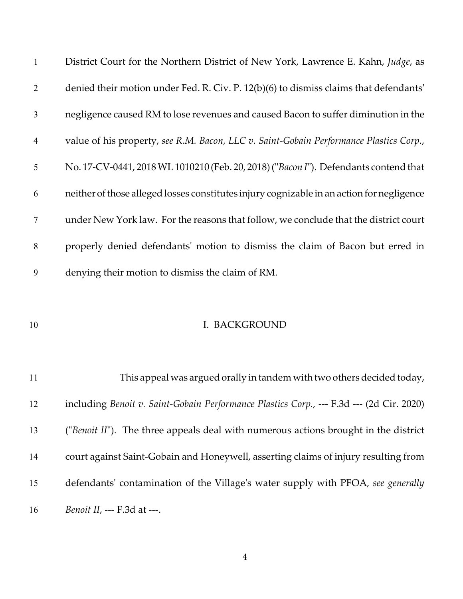| $\mathbf{1}$    | District Court for the Northern District of New York, Lawrence E. Kahn, Judge, as         |
|-----------------|-------------------------------------------------------------------------------------------|
| 2               | denied their motion under Fed. R. Civ. P. 12(b)(6) to dismiss claims that defendants'     |
| $\mathfrak{Z}$  | negligence caused RM to lose revenues and caused Bacon to suffer diminution in the        |
| $\overline{4}$  | value of his property, see R.M. Bacon, LLC v. Saint-Gobain Performance Plastics Corp.,    |
| $5\overline{)}$ | No. 17-CV-0441, 2018 WL 1010210 (Feb. 20, 2018) ("Bacon I"). Defendants contend that      |
| 6               | neither of those alleged losses constitutes injury cognizable in an action for negligence |
| $\tau$          | under New York law. For the reasons that follow, we conclude that the district court      |
| 8               | properly denied defendants' motion to dismiss the claim of Bacon but erred in             |
| 9               | denying their motion to dismiss the claim of RM.                                          |

## 10 I. BACKGROUND

 This appeal was argued orally in tandem with two others decided today, including *Benoit v. Saint-Gobain Performance Plastics Corp.*, --- F.3d --- (2d Cir. 2020) ("*Benoit II*"). The three appeals deal with numerous actions brought in the district court against Saint-Gobain and Honeywell, asserting claims of injury resulting from defendants' contamination of the Village's water supply with PFOA, *see generally Benoit II*, --- F.3d at ---.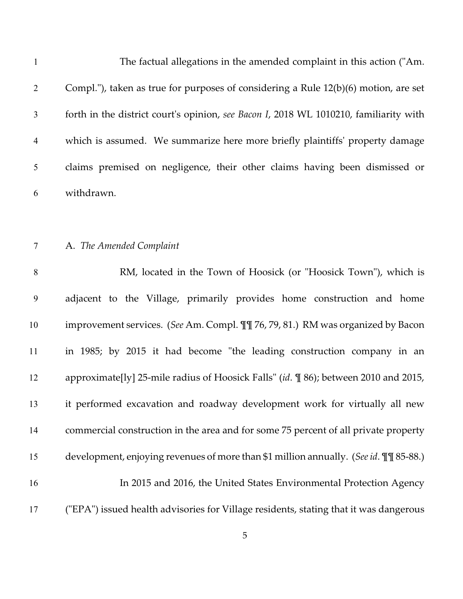| $\mathbf{1}$   | The factual allegations in the amended complaint in this action ("Am.                 |
|----------------|---------------------------------------------------------------------------------------|
| $\overline{2}$ | Compl."), taken as true for purposes of considering a Rule 12(b)(6) motion, are set   |
| $\mathfrak{Z}$ | forth in the district court's opinion, see Bacon I, 2018 WL 1010210, familiarity with |
| $\overline{4}$ | which is assumed. We summarize here more briefly plaintiffs' property damage          |
| 5              | claims premised on negligence, their other claims having been dismissed or            |
| 6              | withdrawn.                                                                            |
|                |                                                                                       |
| $\overline{7}$ | A. The Amended Complaint                                                              |
| 8              | RM, located in the Town of Hoosick (or "Hoosick Town"), which is                      |
| 9              | adjacent to the Village, primarily provides home construction and home                |
| 10             | improvement services. (See Am. Compl. II 76, 79, 81.) RM was organized by Bacon       |
| 11             | in 1985; by 2015 it had become "the leading construction company in an                |
| 12             | approximate[ly] 25-mile radius of Hoosick Falls" (id. \in 86); between 2010 and 2015, |
| 13             | it performed excavation and roadway development work for virtually all new            |
| 14             | commercial construction in the area and for some 75 percent of all private property   |
| 15             | development, enjoying revenues of more than \$1 million annually. (See id. II 85-88.) |
| 16             | In 2015 and 2016, the United States Environmental Protection Agency                   |
| 17             | ("EPA") issued health advisories for Village residents, stating that it was dangerous |
|                | 5                                                                                     |
|                |                                                                                       |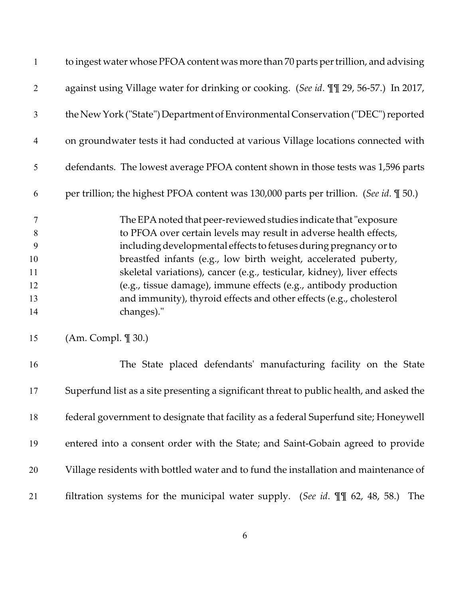| $\mathbf{1}$   | to ingest water whose PFOA content was more than 70 parts per trillion, and advising     |
|----------------|------------------------------------------------------------------------------------------|
| $\overline{2}$ | against using Village water for drinking or cooking. (See id. III 29, 56-57.) In 2017,   |
| 3              | the New York ("State") Department of Environmental Conservation ("DEC") reported         |
| $\overline{4}$ | on groundwater tests it had conducted at various Village locations connected with        |
| $\mathfrak{S}$ | defendants. The lowest average PFOA content shown in those tests was 1,596 parts         |
| 6              | per trillion; the highest PFOA content was 130,000 parts per trillion. (See id. \[ 50.)  |
| $\tau$         | The EPA noted that peer-reviewed studies indicate that "exposure                         |
| 8              | to PFOA over certain levels may result in adverse health effects,                        |
| 9              | including developmental effects to fetuses during pregnancy or to                        |
| 10             | breastfed infants (e.g., low birth weight, accelerated puberty,                          |
| 11             | skeletal variations), cancer (e.g., testicular, kidney), liver effects                   |
| 12             | (e.g., tissue damage), immune effects (e.g., antibody production                         |
| 13             | and immunity), thyroid effects and other effects (e.g., cholesterol                      |
| 14             | changes)."                                                                               |
| 15             | (Am. Compl. ¶ 30.)                                                                       |
| 16             | The State placed defendants' manufacturing facility on the State                         |
| 17             | Superfund list as a site presenting a significant threat to public health, and asked the |
| 18             | federal government to designate that facility as a federal Superfund site; Honeywell     |
| 19             | entered into a consent order with the State; and Saint-Gobain agreed to provide          |
| 20             | Village residents with bottled water and to fund the installation and maintenance of     |
| 21             | filtration systems for the municipal water supply. (See id. $\P\P$ 62, 48, 58.)<br>The   |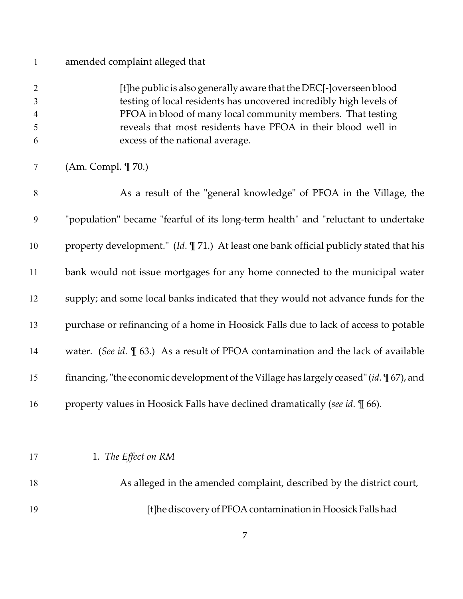| $\mathbf{1}$                                    | amended complaint alleged that                                                                                                                                                                                                                                                                             |
|-------------------------------------------------|------------------------------------------------------------------------------------------------------------------------------------------------------------------------------------------------------------------------------------------------------------------------------------------------------------|
| $\overline{2}$<br>3<br>$\overline{4}$<br>5<br>6 | [t]he public is also generally aware that the DEC[-]overseen blood<br>testing of local residents has uncovered incredibly high levels of<br>PFOA in blood of many local community members. That testing<br>reveals that most residents have PFOA in their blood well in<br>excess of the national average. |
| $\tau$                                          | (Am. Compl. ¶ 70.)                                                                                                                                                                                                                                                                                         |
| 8                                               | As a result of the "general knowledge" of PFOA in the Village, the                                                                                                                                                                                                                                         |
| 9                                               | "population" became "fearful of its long-term health" and "reluctant to undertake                                                                                                                                                                                                                          |
| 10                                              | property development." (Id. ¶ 71.) At least one bank official publicly stated that his                                                                                                                                                                                                                     |
| 11                                              | bank would not issue mortgages for any home connected to the municipal water                                                                                                                                                                                                                               |
| 12                                              | supply; and some local banks indicated that they would not advance funds for the                                                                                                                                                                                                                           |
| 13                                              | purchase or refinancing of a home in Hoosick Falls due to lack of access to potable                                                                                                                                                                                                                        |
| 14                                              | water. (See id. $\mathbb{I}$ 63.) As a result of PFOA contamination and the lack of available                                                                                                                                                                                                              |
| 15                                              | financing, "the economic development of the Village has largely ceased" (id. $\P$ 67), and                                                                                                                                                                                                                 |
| 16                                              | property values in Hoosick Falls have declined dramatically (see id. \[ 66).                                                                                                                                                                                                                               |
|                                                 |                                                                                                                                                                                                                                                                                                            |
| 17                                              | 1. The Effect on RM                                                                                                                                                                                                                                                                                        |
| 18                                              | As alleged in the amended complaint, described by the district court,                                                                                                                                                                                                                                      |
| 19                                              | [t]he discovery of PFOA contamination in Hoosick Falls had                                                                                                                                                                                                                                                 |
|                                                 |                                                                                                                                                                                                                                                                                                            |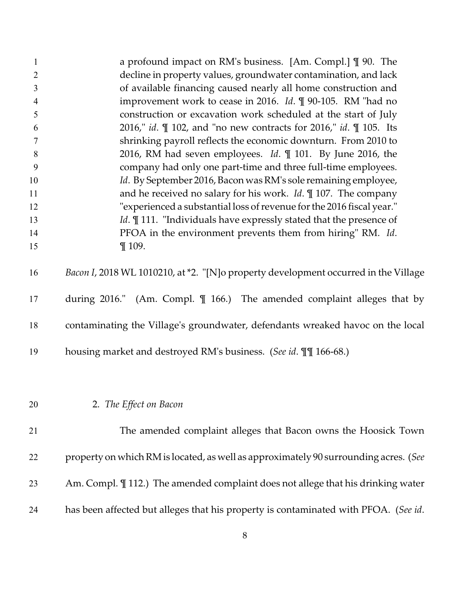| $\mathbf{1}$<br>$\overline{2}$<br>3<br>4<br>5<br>6<br>$\tau$<br>8<br>9<br>10 | a profound impact on RM's business. [Am. Compl.] [ 90. The<br>decline in property values, groundwater contamination, and lack<br>of available financing caused nearly all home construction and<br>improvement work to cease in 2016. Id. ¶ 90-105. RM "had no<br>construction or excavation work scheduled at the start of July<br>2016," id. $\mathbb{I}$ 102, and "no new contracts for 2016," id. $\mathbb{I}$ 105. Its<br>shrinking payroll reflects the economic downturn. From 2010 to<br>2016, RM had seven employees. Id. ¶ 101. By June 2016, the<br>company had only one part-time and three full-time employees.<br>Id. By September 2016, Bacon was RM's sole remaining employee, |
|------------------------------------------------------------------------------|------------------------------------------------------------------------------------------------------------------------------------------------------------------------------------------------------------------------------------------------------------------------------------------------------------------------------------------------------------------------------------------------------------------------------------------------------------------------------------------------------------------------------------------------------------------------------------------------------------------------------------------------------------------------------------------------|
| 11                                                                           | and he received no salary for his work. $Id. \P$ 107. The company                                                                                                                                                                                                                                                                                                                                                                                                                                                                                                                                                                                                                              |
| 12                                                                           | "experienced a substantial loss of revenue for the 2016 fiscal year."                                                                                                                                                                                                                                                                                                                                                                                                                                                                                                                                                                                                                          |
| 13                                                                           | <i>Id.</i> 111. "Individuals have expressly stated that the presence of                                                                                                                                                                                                                                                                                                                                                                                                                                                                                                                                                                                                                        |
| 14                                                                           | PFOA in the environment prevents them from hiring" RM. Id.                                                                                                                                                                                                                                                                                                                                                                                                                                                                                                                                                                                                                                     |
| 15                                                                           | $\P$ 109.                                                                                                                                                                                                                                                                                                                                                                                                                                                                                                                                                                                                                                                                                      |
| 16                                                                           | Bacon I, 2018 WL 1010210, at *2. "[N]o property development occurred in the Village                                                                                                                                                                                                                                                                                                                                                                                                                                                                                                                                                                                                            |
| 17                                                                           | during 2016." (Am. Compl. $\parallel$ 166.) The amended complaint alleges that by                                                                                                                                                                                                                                                                                                                                                                                                                                                                                                                                                                                                              |
| 18                                                                           | contaminating the Village's groundwater, defendants wreaked havoc on the local                                                                                                                                                                                                                                                                                                                                                                                                                                                                                                                                                                                                                 |
| 19                                                                           | housing market and destroyed RM's business. (See id. III 166-68.)                                                                                                                                                                                                                                                                                                                                                                                                                                                                                                                                                                                                                              |
|                                                                              |                                                                                                                                                                                                                                                                                                                                                                                                                                                                                                                                                                                                                                                                                                |
| 20                                                                           | 2. The Effect on Bacon                                                                                                                                                                                                                                                                                                                                                                                                                                                                                                                                                                                                                                                                         |
| 21                                                                           | The amended complaint alleges that Bacon owns the Hoosick Town                                                                                                                                                                                                                                                                                                                                                                                                                                                                                                                                                                                                                                 |
| 22                                                                           | property on which RM is located, as well as approximately 90 surrounding acres. (See                                                                                                                                                                                                                                                                                                                                                                                                                                                                                                                                                                                                           |
| 23                                                                           | Am. Compl. II 112.) The amended complaint does not allege that his drinking water                                                                                                                                                                                                                                                                                                                                                                                                                                                                                                                                                                                                              |
| 24                                                                           | has been affected but alleges that his property is contaminated with PFOA. (See id.                                                                                                                                                                                                                                                                                                                                                                                                                                                                                                                                                                                                            |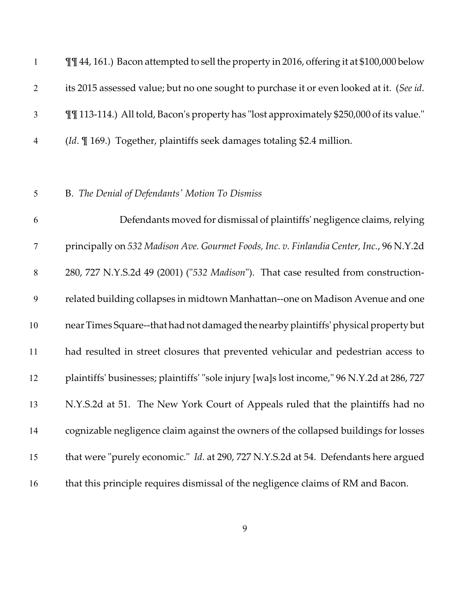**I'll 44, 161.)** Bacon attempted to sell the property in 2016, offering it at \$100,000 below its 2015 assessed value; but no one sought to purchase it or even looked at it. (*See id*. ¶¶ 113-114.) All told, Bacon's property has "lost approximately \$250,000 of its value." (*Id*. ¶ 169.) Together, plaintiffs seek damages totaling \$2.4 million.

## B. *The Denial of Defendants' Motion To Dismiss*

 Defendants moved for dismissal of plaintiffs' negligence claims, relying principally on *532 Madison Ave. Gourmet Foods, Inc. v. Finlandia Center, Inc.*, 96 N.Y.2d 280, 727 N.Y.S.2d 49 (2001) ("*532 Madison*"). That case resulted from construction- related building collapses in midtown Manhattan--one on Madison Avenue and one near Times Square--that hadnotdamaged the nearby plaintiffs' physical property but had resulted in street closures that prevented vehicular and pedestrian access to plaintiffs' businesses; plaintiffs' "sole injury [wa]s lost income," 96 N.Y.2d at 286, 727 N.Y.S.2d at 51. The New York Court of Appeals ruled that the plaintiffs had no cognizable negligence claim against the owners of the collapsed buildings for losses that were "purely economic." *Id*. at 290, 727 N.Y.S.2d at 54. Defendants here argued that this principle requires dismissal of the negligence claims of RM and Bacon.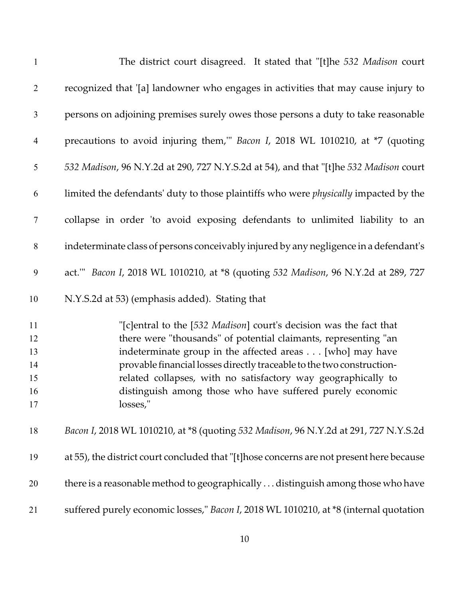| $\mathbf{1}$                           | The district court disagreed. It stated that "[t]he 532 Madison court                                                                                                                                                                                                                                                                                                                                                |
|----------------------------------------|----------------------------------------------------------------------------------------------------------------------------------------------------------------------------------------------------------------------------------------------------------------------------------------------------------------------------------------------------------------------------------------------------------------------|
| $\overline{2}$                         | recognized that '[a] landowner who engages in activities that may cause injury to                                                                                                                                                                                                                                                                                                                                    |
| $\mathfrak{Z}$                         | persons on adjoining premises surely owes those persons a duty to take reasonable                                                                                                                                                                                                                                                                                                                                    |
| $\overline{4}$                         | precautions to avoid injuring them," Bacon I, 2018 WL 1010210, at *7 (quoting                                                                                                                                                                                                                                                                                                                                        |
| 5                                      | 532 Madison, 96 N.Y.2d at 290, 727 N.Y.S.2d at 54), and that "[t]he 532 Madison court                                                                                                                                                                                                                                                                                                                                |
| 6                                      | limited the defendants' duty to those plaintiffs who were <i>physically</i> impacted by the                                                                                                                                                                                                                                                                                                                          |
| $\boldsymbol{7}$                       | collapse in order 'to avoid exposing defendants to unlimited liability to an                                                                                                                                                                                                                                                                                                                                         |
| $8\,$                                  | indeterminate class of persons conceivably injured by any negligence in a defendant's                                                                                                                                                                                                                                                                                                                                |
| $\boldsymbol{9}$                       | act." Bacon I, 2018 WL 1010210, at *8 (quoting 532 Madison, 96 N.Y.2d at 289, 727                                                                                                                                                                                                                                                                                                                                    |
| 10                                     | N.Y.S.2d at 53) (emphasis added). Stating that                                                                                                                                                                                                                                                                                                                                                                       |
| 11<br>12<br>13<br>14<br>15<br>16<br>17 | "[c]entral to the [532 Madison] court's decision was the fact that<br>there were "thousands" of potential claimants, representing "an<br>indeterminate group in the affected areas [who] may have<br>provable financial losses directly traceable to the two construction-<br>related collapses, with no satisfactory way geographically to<br>distinguish among those who have suffered purely economic<br>losses," |
| 18                                     | Bacon I, 2018 WL 1010210, at *8 (quoting 532 Madison, 96 N.Y.2d at 291, 727 N.Y.S.2d                                                                                                                                                                                                                                                                                                                                 |
| 19                                     | at 55), the district court concluded that "[t]hose concerns are not present here because                                                                                                                                                                                                                                                                                                                             |
| 20                                     | there is a reasonable method to geographically  distinguish among those who have                                                                                                                                                                                                                                                                                                                                     |
| 21                                     | suffered purely economic losses," Bacon I, 2018 WL 1010210, at *8 (internal quotation                                                                                                                                                                                                                                                                                                                                |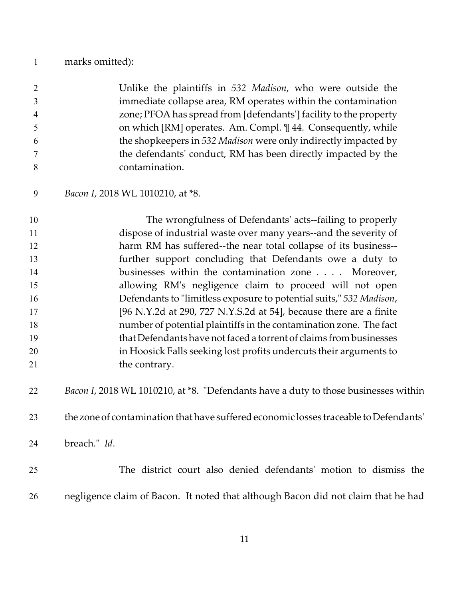## marks omitted):

| $\overline{2}$ | Unlike the plaintiffs in 532 Madison, who were outside the        |
|----------------|-------------------------------------------------------------------|
| 3              | immediate collapse area, RM operates within the contamination     |
| $\overline{4}$ | zone; PFOA has spread from [defendants'] facility to the property |
| 5              | on which [RM] operates. Am. Compl. 1144. Consequently, while      |
| 6              | the shopkeepers in 532 Madison were only indirectly impacted by   |
| $\tau$         | the defendants' conduct, RM has been directly impacted by the     |
| 8              | contamination.                                                    |
|                |                                                                   |

*Bacon I*, 2018 WL 1010210, at \*8.

 The wrongfulness of Defendants' acts--failing to properly dispose of industrial waste over many years--and the severity of harm RM has suffered--the near total collapse of its business-- further support concluding that Defendants owe a duty to businesses within the contamination zone . . . . Moreover, allowing RM's negligence claim to proceed will not open Defendants to "limitless exposure to potential suits," *532 Madison*, 17 [96 N.Y.2d at 290, 727 N.Y.S.2d at 54], because there are a finite number of potential plaintiffs in the contamination zone. The fact that Defendants have not faced a torrent of claims from businesses in Hoosick Falls seeking lost profits undercuts their arguments to 21 the contrary.

*Bacon I*, 2018 WL 1010210, at \*8. "Defendants have a duty to those businesses within

the zone of contamination that have suffered economic losses traceable toDefendants'

breach." *Id*.

 The district court also denied defendants' motion to dismiss the negligence claim of Bacon. It noted that although Bacon did not claim that he had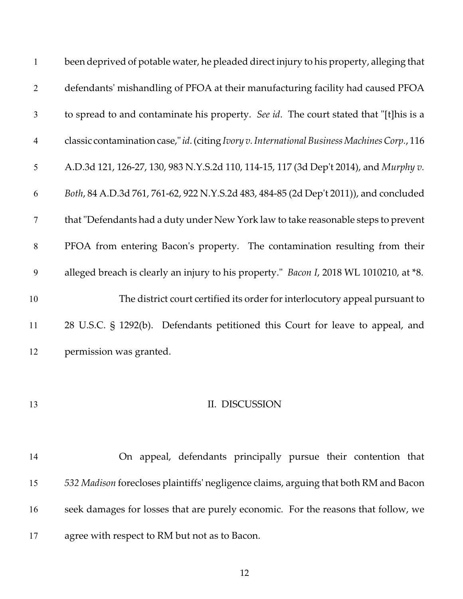| $\mathbf{1}$   | been deprived of potable water, he pleaded direct injury to his property, alleging that        |
|----------------|------------------------------------------------------------------------------------------------|
| $\overline{2}$ | defendants' mishandling of PFOA at their manufacturing facility had caused PFOA                |
| $\overline{3}$ | to spread to and contaminate his property. See id. The court stated that "[t]his is a          |
| $\overline{4}$ | classic contamination case," id. (citing Ivory v. International Business Machines Corp., 116   |
| 5              | A.D.3d 121, 126-27, 130, 983 N.Y.S.2d 110, 114-15, 117 (3d Dep't 2014), and Murphy v.          |
| 6              | Both, 84 A.D.3d 761, 761-62, 922 N.Y.S.2d 483, 484-85 (2d Dep't 2011)), and concluded          |
| $\overline{7}$ | that "Defendants had a duty under New York law to take reasonable steps to prevent             |
| 8              | PFOA from entering Bacon's property. The contamination resulting from their                    |
| 9              | alleged breach is clearly an injury to his property." <i>Bacon I</i> , 2018 WL 1010210, at *8. |
| 10             | The district court certified its order for interlocutory appeal pursuant to                    |
| 11             | 28 U.S.C. § 1292(b). Defendants petitioned this Court for leave to appeal, and                 |
| 12             | permission was granted.                                                                        |

## 13 II. DISCUSSION

 On appeal, defendants principally pursue their contention that *532 Madison* forecloses plaintiffs' negligence claims, arguing that both RM and Bacon seek damages for losses that are purely economic. For the reasons that follow, we agree with respect to RM but not as to Bacon.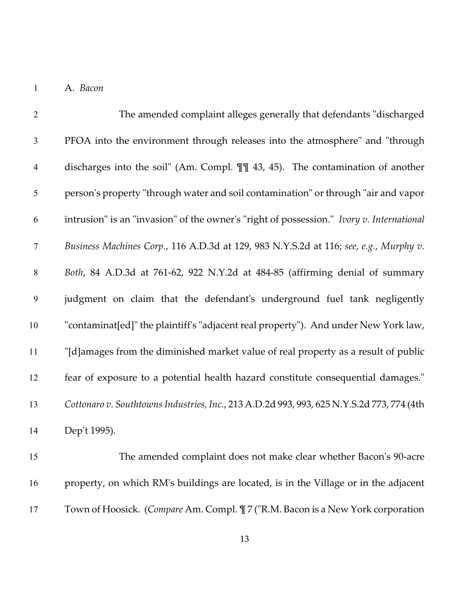A. *Bacon*

| $\overline{2}$ | The amended complaint alleges generally that defendants "discharged                       |
|----------------|-------------------------------------------------------------------------------------------|
| $\mathfrak{Z}$ | PFOA into the environment through releases into the atmosphere" and "through              |
| $\overline{4}$ | discharges into the soil" (Am. Compl. $\P$ ] 43, 45). The contamination of another        |
| 5              | person's property "through water and soil contamination" or through "air and vapor        |
| 6              | intrusion" is an "invasion" of the owner's "right of possession." Ivory v. International  |
| $\tau$         | Business Machines Corp., 116 A.D.3d at 129, 983 N.Y.S.2d at 116; see, e.g., Murphy v.     |
| $\,8\,$        | Both, 84 A.D.3d at 761-62, 922 N.Y.2d at 484-85 (affirming denial of summary              |
| 9              | judgment on claim that the defendant's underground fuel tank negligently                  |
| $10\,$         | "contaminat[ed]" the plaintiff's "adjacent real property"). And under New York law,       |
| 11             | "[d]amages from the diminished market value of real property as a result of public        |
| 12             | fear of exposure to a potential health hazard constitute consequential damages."          |
| 13             | Cottonaro v. Southtowns Industries, Inc., 213 A.D.2d 993, 993, 625 N.Y.S.2d 773, 774 (4th |
| 14             | Dep't 1995).                                                                              |
| 15             | The amended complaint does not make clear whether Bacon's 90-acre                         |
| 16             | property, on which RM's buildings are located, is in the Village or in the adjacent       |

Town of Hoosick. (*Compare* Am. Compl. ¶ 7 ("R.M. Bacon is a New York corporation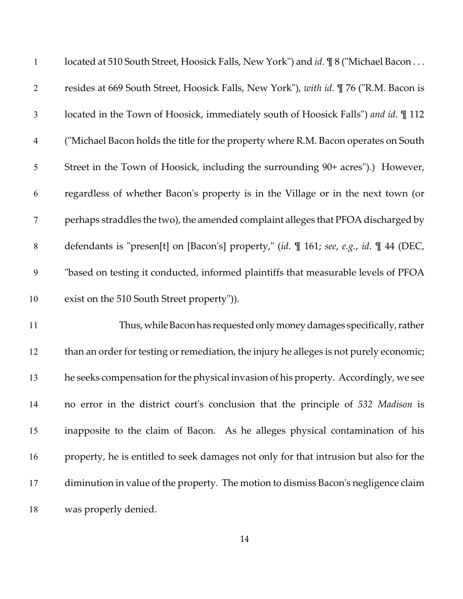| $\mathbf{1}$     | located at 510 South Street, Hoosick Falls, New York") and id. ¶ 8 ("Michael Bacon           |
|------------------|----------------------------------------------------------------------------------------------|
| $\overline{2}$   | resides at 669 South Street, Hoosick Falls, New York"), with id. ¶ 76 ("R.M. Bacon is        |
| $\mathfrak{Z}$   | located in the Town of Hoosick, immediately south of Hoosick Falls") and id. 112             |
| $\overline{4}$   | ("Michael Bacon holds the title for the property where R.M. Bacon operates on South          |
| 5                | Street in the Town of Hoosick, including the surrounding 90+ acres").) However,              |
| 6                | regardless of whether Bacon's property is in the Village or in the next town (or             |
| 7                | perhaps straddles the two), the amended complaint alleges that PFOA discharged by            |
| $\,8\,$          | defendants is "presen[t] on [Bacon's] property," (id. \mud 161; see, e.g., id. \mud 44 (DEC, |
| $\boldsymbol{9}$ | "based on testing it conducted, informed plaintiffs that measurable levels of PFOA           |
| 10               | exist on the 510 South Street property")).                                                   |
| 11               | Thus, while Bacon has requested only money damages specifically, rather                      |
| 12               | than an order for testing or remediation, the injury he alleges is not purely economic;      |
| 13               | he seeks compensation for the physical invasion of his property. Accordingly, we see         |
| 14               | no error in the district court's conclusion that the principle of 532 Madison is             |
| 15               | inapposite to the claim of Bacon. As he alleges physical contamination of his                |
| 16               | property, he is entitled to seek damages not only for that intrusion but also for the        |
| 17               | diminution in value of the property. The motion to dismiss Bacon's negligence claim          |
| 18               | was properly denied.                                                                         |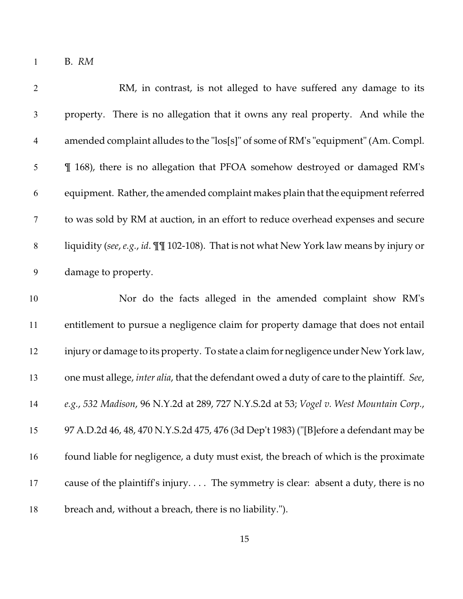B. *RM*

| $\overline{2}$   | RM, in contrast, is not alleged to have suffered any damage to its                         |
|------------------|--------------------------------------------------------------------------------------------|
| $\mathfrak{Z}$   | property. There is no allegation that it owns any real property. And while the             |
| $\overline{4}$   | amended complaint alludes to the "los[s]" of some of RM's "equipment" (Am. Compl.          |
| $\mathfrak s$    | I 168), there is no allegation that PFOA somehow destroyed or damaged RM's                 |
| 6                | equipment. Rather, the amended complaint makes plain that the equipment referred           |
| $\boldsymbol{7}$ | to was sold by RM at auction, in an effort to reduce overhead expenses and secure          |
| $8\,$            | liquidity (see, e.g., id. III 102-108). That is not what New York law means by injury or   |
| $\boldsymbol{9}$ | damage to property.                                                                        |
| 10               | Nor do the facts alleged in the amended complaint show RM's                                |
| 11               | entitlement to pursue a negligence claim for property damage that does not entail          |
| 12               | injury or damage to its property. To state a claim for negligence under New York law,      |
| 13               | one must allege, inter alia, that the defendant owed a duty of care to the plaintiff. See, |
| 14               | e.g., 532 Madison, 96 N.Y.2d at 289, 727 N.Y.S.2d at 53; Vogel v. West Mountain Corp.,     |
| 15               | 97 A.D.2d 46, 48, 470 N.Y.S.2d 475, 476 (3d Dep't 1983) ("[B]efore a defendant may be      |
| 16               | found liable for negligence, a duty must exist, the breach of which is the proximate       |
| 17               | cause of the plaintiff's injury The symmetry is clear: absent a duty, there is no          |
| 18               | breach and, without a breach, there is no liability.").                                    |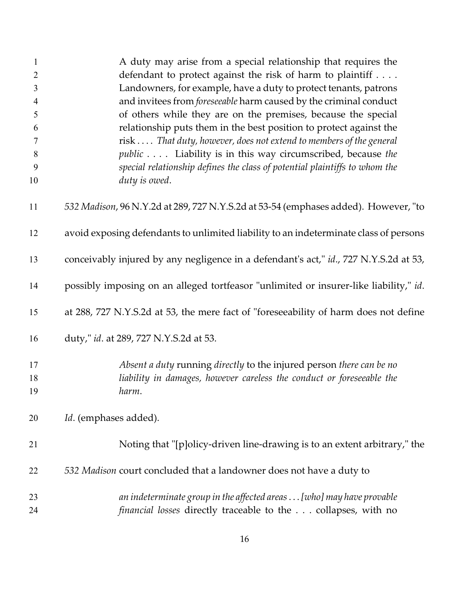| $\mathbf{1}$   | A duty may arise from a special relationship that requires the                        |
|----------------|---------------------------------------------------------------------------------------|
| $\overline{2}$ | defendant to protect against the risk of harm to plaintiff                            |
| 3              | Landowners, for example, have a duty to protect tenants, patrons                      |
| $\overline{4}$ | and invitees from <i>foreseeable</i> harm caused by the criminal conduct              |
| 5              | of others while they are on the premises, because the special                         |
| 6              | relationship puts them in the best position to protect against the                    |
| $\tau$         | risk  That duty, however, does not extend to members of the general                   |
| 8              | <i>public</i> Liability is in this way circumscribed, because the                     |
| 9              | special relationship defines the class of potential plaintiffs to whom the            |
| 10             | duty is owed.                                                                         |
| 11             | 532 Madison, 96 N.Y.2d at 289, 727 N.Y.S.2d at 53-54 (emphases added). However, "to   |
| 12             | avoid exposing defendants to unlimited liability to an indeterminate class of persons |
| 13             | conceivably injured by any negligence in a defendant's act," id., 727 N.Y.S.2d at 53, |
| 14             | possibly imposing on an alleged tortfeasor "unlimited or insurer-like liability," id. |
| 15             | at 288, 727 N.Y.S.2d at 53, the mere fact of "foreseeability of harm does not define  |
| 16             | duty," id. at 289, 727 N.Y.S.2d at 53.                                                |
| 17             | Absent a duty running directly to the injured person there can be no                  |
| 18             | liability in damages, however careless the conduct or foreseeable the                 |
| 19             | harm.                                                                                 |
| 20             | Id. (emphases added).                                                                 |
| 21             | Noting that "[p]olicy-driven line-drawing is to an extent arbitrary," the             |
| 22             | 532 Madison court concluded that a landowner does not have a duty to                  |
| 23             | an indeterminate group in the affected areas [who] may have provable                  |
| 24             | <i>financial losses</i> directly traceable to the collapses, with no                  |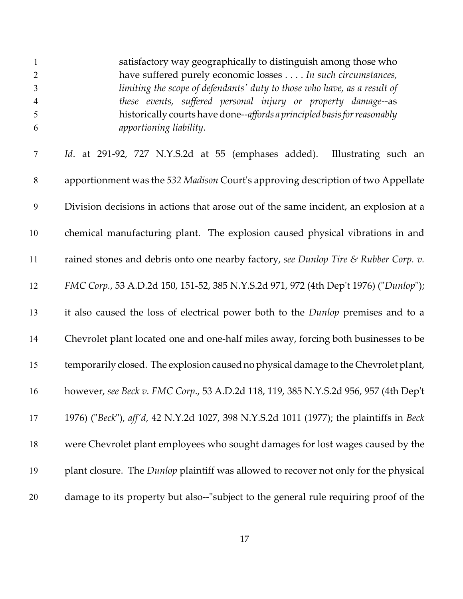| $\mathbf{1}$        | satisfactory way geographically to distinguish among those who                                      |
|---------------------|-----------------------------------------------------------------------------------------------------|
| $\overline{2}$      | have suffered purely economic losses In such circumstances,                                         |
| $\mathfrak{Z}$      | limiting the scope of defendants' duty to those who have, as a result of                            |
| $\overline{4}$<br>5 | these events, suffered personal injury or property damage--as                                       |
| 6                   | historically courts have done--affords a principled basis for reasonably<br>apportioning liability. |
|                     |                                                                                                     |
| $\tau$              | Id. at 291-92, 727 N.Y.S.2d at 55 (emphases added). Illustrating such an                            |
| $\,8\,$             | apportionment was the 532 Madison Court's approving description of two Appellate                    |
| 9                   | Division decisions in actions that arose out of the same incident, an explosion at a                |
| 10                  | chemical manufacturing plant. The explosion caused physical vibrations in and                       |
| 11                  | rained stones and debris onto one nearby factory, see Dunlop Tire & Rubber Corp. v.                 |
| 12                  | FMC Corp., 53 A.D.2d 150, 151-52, 385 N.Y.S.2d 971, 972 (4th Dep't 1976) ("Dunlop");                |
| 13                  | it also caused the loss of electrical power both to the <i>Dunlop</i> premises and to a             |
| 14                  | Chevrolet plant located one and one-half miles away, forcing both businesses to be                  |
| 15                  | temporarily closed. The explosion caused no physical damage to the Chevrolet plant,                 |
| 16                  | however, see Beck v. FMC Corp., 53 A.D.2d 118, 119, 385 N.Y.S.2d 956, 957 (4th Dep't                |
| 17                  | 1976) ("Beck"), aff'd, 42 N.Y.2d 1027, 398 N.Y.S.2d 1011 (1977); the plaintiffs in Beck             |
| 18                  | were Chevrolet plant employees who sought damages for lost wages caused by the                      |
| 19                  | plant closure. The <i>Dunlop</i> plaintiff was allowed to recover not only for the physical         |
| 20                  | damage to its property but also--"subject to the general rule requiring proof of the                |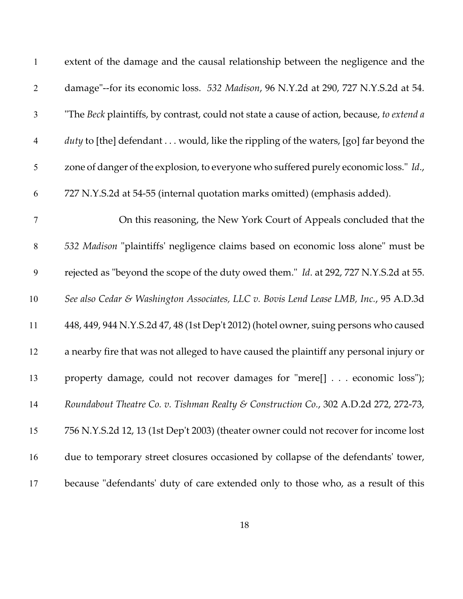| $\mathbf{1}$   | extent of the damage and the causal relationship between the negligence and the            |
|----------------|--------------------------------------------------------------------------------------------|
| $\overline{2}$ | damage"--for its economic loss. 532 Madison, 96 N.Y.2d at 290, 727 N.Y.S.2d at 54.         |
| 3              | "The Beck plaintiffs, by contrast, could not state a cause of action, because, to extend a |
| $\overline{4}$ | duty to [the] defendant would, like the rippling of the waters, [go] far beyond the        |
| 5              | zone of danger of the explosion, to everyone who suffered purely economic loss." Id.,      |
| 6              | 727 N.Y.S.2d at 54-55 (internal quotation marks omitted) (emphasis added).                 |
| $\tau$         | On this reasoning, the New York Court of Appeals concluded that the                        |
| $8\,$          | 532 Madison "plaintiffs' negligence claims based on economic loss alone" must be           |
| 9              | rejected as "beyond the scope of the duty owed them." Id. at 292, 727 N.Y.S.2d at 55.      |
| 10             | See also Cedar & Washington Associates, LLC v. Bovis Lend Lease LMB, Inc., 95 A.D.3d       |
| 11             | 448, 449, 944 N.Y.S.2d 47, 48 (1st Dep't 2012) (hotel owner, suing persons who caused      |
| 12             | a nearby fire that was not alleged to have caused the plaintiff any personal injury or     |
| 13             | property damage, could not recover damages for "mere[] economic loss");                    |
| 14             | Roundabout Theatre Co. v. Tishman Realty & Construction Co., 302 A.D.2d 272, 272-73,       |
| 15             | 756 N.Y.S.2d 12, 13 (1st Dep't 2003) (theater owner could not recover for income lost      |
| 16             | due to temporary street closures occasioned by collapse of the defendants' tower,          |
| 17             | because "defendants' duty of care extended only to those who, as a result of this          |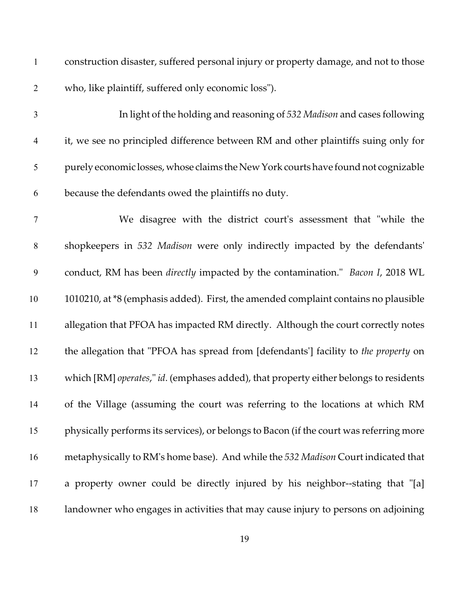construction disaster, suffered personal injury or property damage, and not to those who, like plaintiff, suffered only economic loss"). In light of the holding and reasoning of *532 Madison* and cases following it, we see no principled difference between RM and other plaintiffs suing only for purely economic losses, whose claims theNew York courts have found not cognizable because the defendants owed the plaintiffs no duty. We disagree with the district court's assessment that "while the shopkeepers in *532 Madison* were only indirectly impacted by the defendants' conduct, RM has been *directly* impacted by the contamination." *Bacon I*, 2018 WL 1010210, at \*8 (emphasis added). First, the amended complaint contains no plausible allegation that PFOA has impacted RM directly. Although the court correctly notes the allegation that "PFOA has spread from [defendants'] facility to *the property* on which [RM] *operates*," *id*. (emphases added), that property either belongs to residents of the Village (assuming the court was referring to the locations at which RM physically performs its services), or belongs to Bacon (if the court was referring more metaphysically to RM's home base). And while the *532 Madison* Court indicated that a property owner could be directly injured by his neighbor--stating that "[a] landowner who engages in activities that may cause injury to persons on adjoining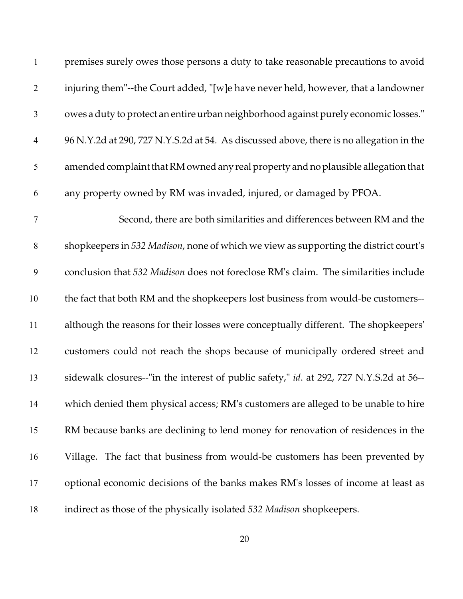| $\mathbf{1}$   | premises surely owes those persons a duty to take reasonable precautions to avoid       |
|----------------|-----------------------------------------------------------------------------------------|
| $\overline{2}$ | injuring them"--the Court added, "[w]e have never held, however, that a landowner       |
| 3              | owes a duty to protect an entire urban neighborhood against purely economic losses."    |
| $\overline{4}$ | 96 N.Y.2d at 290, 727 N.Y.S.2d at 54. As discussed above, there is no allegation in the |
| $\mathfrak{S}$ | amended complaint that RM owned any real property and no plausible allegation that      |
| 6              | any property owned by RM was invaded, injured, or damaged by PFOA.                      |
| $\tau$         | Second, there are both similarities and differences between RM and the                  |
| $8\,$          | shopkeepers in 532 Madison, none of which we view as supporting the district court's    |
| 9              | conclusion that 532 Madison does not foreclose RM's claim. The similarities include     |
| 10             | the fact that both RM and the shopkeepers lost business from would-be customers--       |
| 11             | although the reasons for their losses were conceptually different. The shopkeepers'     |
| 12             | customers could not reach the shops because of municipally ordered street and           |
| 13             | sidewalk closures--"in the interest of public safety," id. at 292, 727 N.Y.S.2d at 56-- |
| 14             | which denied them physical access; RM's customers are alleged to be unable to hire      |
| 15             | RM because banks are declining to lend money for renovation of residences in the        |
| 16             | Village. The fact that business from would-be customers has been prevented by           |
| 17             | optional economic decisions of the banks makes RM's losses of income at least as        |
| 18             | indirect as those of the physically isolated 532 Madison shopkeepers.                   |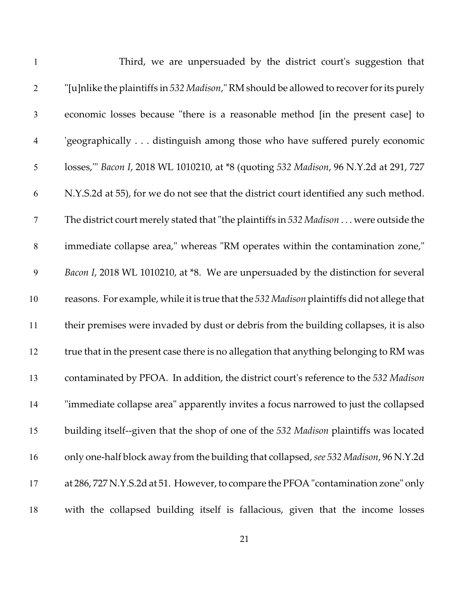| $\mathbf{1}$   | Third, we are unpersuaded by the district court's suggestion that                          |
|----------------|--------------------------------------------------------------------------------------------|
| $\overline{2}$ | "[u]nlike the plaintiffs in 532 Madison," RM should be allowed to recover for its purely   |
| $\mathfrak{Z}$ | economic losses because "there is a reasonable method [in the present case] to             |
| $\overline{4}$ | 'geographically distinguish among those who have suffered purely economic                  |
| 5              | losses," Bacon I, 2018 WL 1010210, at *8 (quoting 532 Madison, 96 N.Y.2d at 291, 727       |
| 6              | N.Y.S.2d at 55), for we do not see that the district court identified any such method.     |
| $\tau$         | The district court merely stated that "the plaintiffs in 532 Madison were outside the      |
| $8\,$          | immediate collapse area," whereas "RM operates within the contamination zone,"             |
| 9              | Bacon I, 2018 WL 1010210, at *8. We are unpersuaded by the distinction for several         |
| 10             | reasons. For example, while it is true that the 532 Madison plaintiffs did not allege that |
| 11             | their premises were invaded by dust or debris from the building collapses, it is also      |
| 12             | true that in the present case there is no allegation that anything belonging to RM was     |
| 13             | contaminated by PFOA. In addition, the district court's reference to the 532 Madison       |
| 14             | "immediate collapse area" apparently invites a focus narrowed to just the collapsed        |
| 15             | building itself--given that the shop of one of the 532 Madison plaintiffs was located      |
| 16             | only one-half block away from the building that collapsed, see 532 Madison, 96 N.Y.2d      |
| 17             | at 286, 727 N.Y.S.2d at 51. However, to compare the PFOA "contamination zone" only         |
| 18             | with the collapsed building itself is fallacious, given that the income losses             |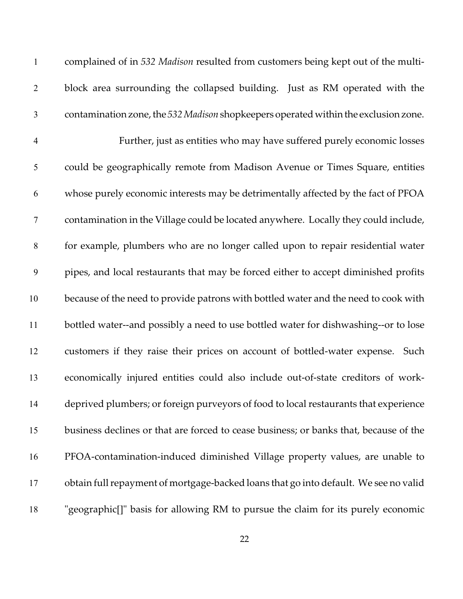| $\mathbf{1}$   | complained of in 532 Madison resulted from customers being kept out of the multi-     |
|----------------|---------------------------------------------------------------------------------------|
| $\overline{2}$ | block area surrounding the collapsed building. Just as RM operated with the           |
| $\mathfrak{Z}$ | contamination zone, the 532 Madison shopkeepers operated within the exclusion zone.   |
| $\overline{4}$ | Further, just as entities who may have suffered purely economic losses                |
| 5              | could be geographically remote from Madison Avenue or Times Square, entities          |
| 6              | whose purely economic interests may be detrimentally affected by the fact of PFOA     |
| $\overline{7}$ | contamination in the Village could be located anywhere. Locally they could include,   |
| $8\,$          | for example, plumbers who are no longer called upon to repair residential water       |
| 9              | pipes, and local restaurants that may be forced either to accept diminished profits   |
| 10             | because of the need to provide patrons with bottled water and the need to cook with   |
| 11             | bottled water--and possibly a need to use bottled water for dishwashing--or to lose   |
| 12             | customers if they raise their prices on account of bottled-water expense. Such        |
| 13             | economically injured entities could also include out-of-state creditors of work-      |
| 14             | deprived plumbers; or foreign purveyors of food to local restaurants that experience  |
| 15             | business declines or that are forced to cease business; or banks that, because of the |
| 16             | PFOA-contamination-induced diminished Village property values, are unable to          |
| 17             | obtain full repayment of mortgage-backed loans that go into default. We see no valid  |
| 18             | "geographic[]" basis for allowing RM to pursue the claim for its purely economic      |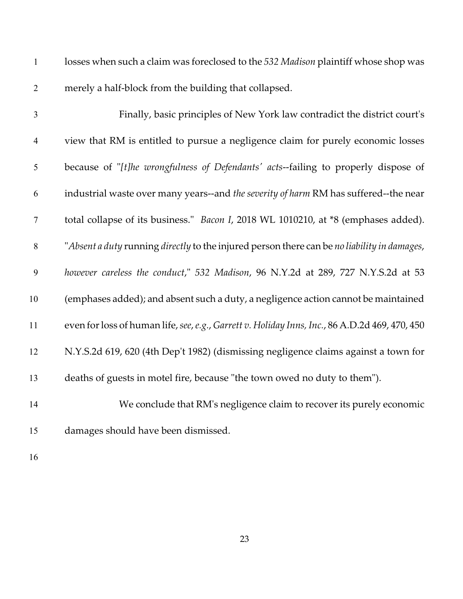| $\mathbf{1}$             | losses when such a claim was foreclosed to the 532 Madison plaintiff whose shop was            |
|--------------------------|------------------------------------------------------------------------------------------------|
| $\overline{2}$           | merely a half-block from the building that collapsed.                                          |
| 3                        | Finally, basic principles of New York law contradict the district court's                      |
| $\overline{\mathcal{A}}$ | view that RM is entitled to pursue a negligence claim for purely economic losses               |
| $\mathfrak{S}$           | because of "[t]he wrongfulness of Defendants' acts--failing to properly dispose of             |
| 6                        | industrial waste over many years--and the severity of harm RM has suffered--the near           |
| $\boldsymbol{7}$         | total collapse of its business." <i>Bacon I</i> , 2018 WL 1010210, at *8 (emphases added).     |
| $8\,$                    | "Absent a duty running directly to the injured person there can be no liability in damages,    |
| $\boldsymbol{9}$         | however careless the conduct," 532 Madison, 96 N.Y.2d at 289, 727 N.Y.S.2d at 53               |
| 10                       | (emphases added); and absent such a duty, a negligence action cannot be maintained             |
| 11                       | even for loss of human life, see, e.g., Garrett v. Holiday Inns, Inc., 86 A.D.2d 469, 470, 450 |
| 12                       | N.Y.S.2d 619, 620 (4th Dep't 1982) (dismissing negligence claims against a town for            |
| 13                       | deaths of guests in motel fire, because "the town owed no duty to them").                      |
| 14                       | We conclude that RM's negligence claim to recover its purely economic                          |
| 15                       | damages should have been dismissed.                                                            |
| 16                       |                                                                                                |